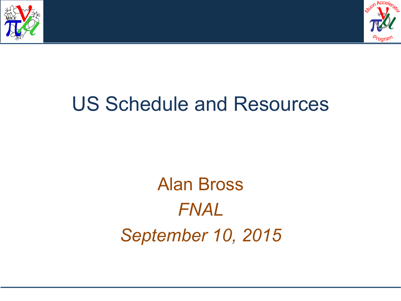



## US Schedule and Resources

Alan Bross *FNAL September 10, 2015*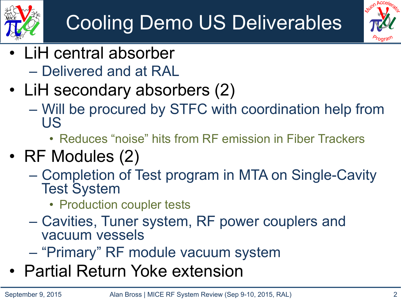

## Cooling Demo US Deliverables



- LiH central absorber – Delivered and at RAL
- LiH secondary absorbers (2)
	- Will be procured by STFC with coordination help from US
		- Reduces "noise" hits from RF emission in Fiber Trackers
- RF Modules (2)
	- Completion of Test program in MTA on Single-Cavity Test System
		- Production coupler tests
	- Cavities, Tuner system, RF power couplers and vacuum vessels
	- "Primary" RF module vacuum system
- Partial Return Yoke extension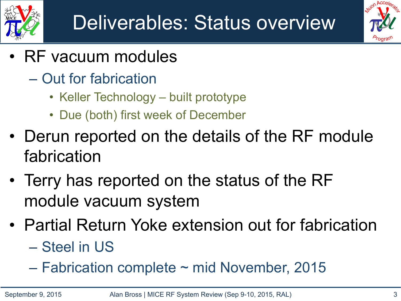



- RF vacuum modules
	- Out for fabrication
		- Keller Technology built prototype
		- Due (both) first week of December
- Derun reported on the details of the RF module fabrication
- Terry has reported on the status of the RF module vacuum system
- Partial Return Yoke extension out for fabrication – Steel in US
	- $-$  Fabrication complete  $\sim$  mid November, 2015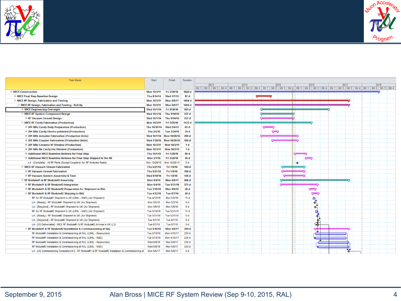



| <b>Task Name</b>                                                                                 | <b>Start</b>       | Finish            | Duration         |                                                                                                                                                                                                                               |
|--------------------------------------------------------------------------------------------------|--------------------|-------------------|------------------|-------------------------------------------------------------------------------------------------------------------------------------------------------------------------------------------------------------------------------|
|                                                                                                  |                    |                   |                  | 2013<br>2014<br>2015<br>2016<br>2017<br>2018                                                                                                                                                                                  |
|                                                                                                  |                    |                   |                  | 0tr 1   0tr 2   0tr 3   0tr 4   0tr 1   0tr 2   0tr 3   0tr 4   0tr 1   0tr 2   0tr 3   0tr 4   0tr 4   0tr 4   0tr 4   0tr 1   0tr 2   0tr 3   0tr 4   0tr 1   0tr 2   0tr 3   0tr 4   0tr 1   0tr 2   0tr 4   0tr 1   0tr 2 |
| - MICE Construction                                                                              | <b>Mon 10/3/11</b> | Fri 3/30/18       | 1628 d           |                                                                                                                                                                                                                               |
| <b>+ MICE Final Step Baseline Design</b>                                                         | Thu 8/14/14        | Wed 1/7/15        | 97 d             |                                                                                                                                                                                                                               |
| <b>E MICE RF Design, Fabrication and Testing</b>                                                 | Mon 10/3/11        | <b>Mon 5/8/17</b> | 1404 d           |                                                                                                                                                                                                                               |
| MICE RF Design, Fabrication and Testing - Roll-Up                                                | Mon 10/3/11        | <b>Mon 5/8/17</b> | 1404 d           |                                                                                                                                                                                                                               |
| + MICE Engineering Oversight                                                                     | Wed 10/1/14        | Fri 9/30/16       | 503 d            |                                                                                                                                                                                                                               |
| MICE RF System Component Design                                                                  | Wed 10/1/14        | Thu 9/10/15       | 237 d            |                                                                                                                                                                                                                               |
| <b>+ RF Vacuum Vessel Design</b>                                                                 | Wed 10/1/14        | Thu 9/10/15       | 237 d            |                                                                                                                                                                                                                               |
| <b>E MICE RF Cavity Fabrication (Production)</b>                                                 | <b>Mon 10/3/11</b> | Fri 3/25/16       | 1123 d           |                                                                                                                                                                                                                               |
| + 201 MHz Cavity Body Preparation (Production)                                                   | Thu 10/30/14       | Wed 2/4/15        | 63 d             | ᅮ                                                                                                                                                                                                                             |
| + 201 MHz Cavity Electro-polished (Production)                                                   | Thu 2/5/15         | Tue 3/24/15       | 34 <sub>d</sub>  | ᡂ                                                                                                                                                                                                                             |
| E 201 MHz Actuator Fabrication (Production Units)                                                | Wed 10/1/14        | Mon 10/26/15      | 269 d            |                                                                                                                                                                                                                               |
| <b>E 201 MHz Coupler Fabrication (Production Units)</b>                                          | Wed 1/28/15        | Mon 10/26/15      | 190 d            |                                                                                                                                                                                                                               |
| + 201 MHz Ceramic RF Window (Production)                                                         | Mon 10/3/11        | Mon 10/3/11       | 1 d              |                                                                                                                                                                                                                               |
| + 201 MHz Be Cavity Iris Window (Production)                                                     | <b>Mon 10/3/11</b> | Mon 10/3/11       | 1 d              |                                                                                                                                                                                                                               |
| + Additional MICE Beamline Bellows for Final Step                                                | Thu 10/1/15        | Fri 1/29/16       | 80d              |                                                                                                                                                                                                                               |
| <b>E Additional MICE Beamline Bellows for Final Step Shipped to the UK</b>                       | <b>Mon 2/1/16</b>  | Fri 3/25/16       | 40 d             | نص                                                                                                                                                                                                                            |
| L4 - [Complete] - All RF Parts (Except Couplers) for RF Modules Ready                            | Mon 10/26/15       | Mon 10/26/15      | 0 <sub>d</sub>   | ۰                                                                                                                                                                                                                             |
| <b>E MICE RF Vacuum Vessel Fabrication</b>                                                       | Thu 5/21/15        | Fri 1/8/16        | 158 <sub>d</sub> |                                                                                                                                                                                                                               |
| <b>+ RF Vacuum Vessel Fabrication</b>                                                            | Thu 5/21/15        | Fri 1/8/16        | 158 <sub>d</sub> |                                                                                                                                                                                                                               |
| <b>+ RF Vacuum System Assembly &amp; Test</b>                                                    | Wed 6/10/15        | Fri 1/8/16        | 145d             |                                                                                                                                                                                                                               |
| $\equiv$ RF Module#1 & RF Module#2 Assembly                                                      | Mon 5/4/15         | <b>Mon 5/8/17</b> | 506 d            |                                                                                                                                                                                                                               |
| <b>E RF Module#1 &amp; RF Module#2 Integration</b>                                               | Mon 5/4/15         | Tue 5/31/16       | 271 d            |                                                                                                                                                                                                                               |
| E RF Module#1 & RF Module#2 Preparation for Shipment to RAL                                      | Tue 3/15/16        | <b>Mon 5/9/16</b> | 40 d             | بجن                                                                                                                                                                                                                           |
| $\Box$ RF Module#1 & RF Module#2 Shipping to RAL                                                 | Tue 4/12/16        | Tue 6/7/16        | 40 d             | جص                                                                                                                                                                                                                            |
| RF for RF Module#1 Shipment to UK (LBNL - M&S) (Air Shipment)                                    | Tue 4/12/16        | Mon 5/2/16        | 15d              | O۱                                                                                                                                                                                                                            |
| L4 - [Ready] - RF Module#1 Shipment to UK (Air Shipment)                                         | Mon 5/2/16         | Mon 5/2/16        | 0 <sub>d</sub>   | ≮                                                                                                                                                                                                                             |
| L4 - [Required] - RF Module#1 Shipment to UK (Air Shipment)                                      | Mon 5/9/16         | Mon 5/9/16        | 0d               | ◆                                                                                                                                                                                                                             |
| RF for RF Module#2 Shipment to UK (LBNL - M&S) (Air Shipment)                                    | Tue 5/10/16        | Tue 5/31/16       | 15d              | Ø.                                                                                                                                                                                                                            |
| L4 - [Ready] - RF Module#2 Shipment to UK (Air Shipment)                                         | Tue 5/31/16        | Tue 5/31/16       | 0 <sub>d</sub>   |                                                                                                                                                                                                                               |
| L4 - [Required] - RF Module#2 Shipment to UK (Air Shipment)                                      | Tue 6/7/16         | Tue 6/7/16        | 0 <sub>d</sub>   |                                                                                                                                                                                                                               |
| L4 - [US Deliverable] - MICE RF Module#1 & RF Module#2 Arrives in UK (L3)                        | Tue 6/7/16         | Tue 6/7/16        | 0 <sub>d</sub>   | क                                                                                                                                                                                                                             |
| $E$ RF Module#1 & RF Module#2 Installation & Commissioning at RAL                                | Tue 5/10/16        | <b>Mon 5/8/17</b> | 250d             |                                                                                                                                                                                                                               |
| RF Module#1 Installation & Commissioning at RAL (LBNL - Resources)                               | Tue 5/10/16        | Mon 4/10/17       | 230 d            |                                                                                                                                                                                                                               |
| RF Module#1 Installation & Commissioning at RAL (LBNL - M&S)                                     | Tue 5/10/16        | Mon 4/10/17       | 230 d            |                                                                                                                                                                                                                               |
| RF Module#2 Installation & Commissioning at RAL (LBNL - Resources)                               | Wed 6/8/16         | Mon 5/8/17        | 230 d            |                                                                                                                                                                                                                               |
| RF Module#2 Installation & Commissioning at RAL (LBNL - M&S)                                     | Wed 6/8/16         | Mon 5/8/17        | 230 d            |                                                                                                                                                                                                                               |
| L4 - [US Commissioning Complete(UK)] - RF Module#1 & RF Module#2 Installation & Commissioning at | Mon 5/8/17         | Mon 5/8/17        | 0 <sub>d</sub>   |                                                                                                                                                                                                                               |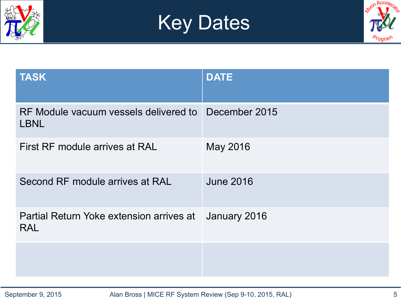





| <b>TASK</b>                                            | <b>DATE</b>      |
|--------------------------------------------------------|------------------|
| RF Module vacuum vessels delivered to<br><b>LBNL</b>   | December 2015    |
| First RF module arrives at RAL                         | May 2016         |
| Second RF module arrives at RAL                        | <b>June 2016</b> |
| Partial Return Yoke extension arrives at<br><b>RAL</b> | January 2016     |
|                                                        |                  |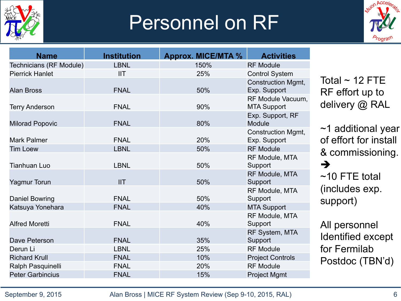

## Personnel on RF



| <b>Name</b>             | <b>Institution</b> | <b>Approx. MICE/MTA %</b> | <b>Activities</b>                         |                                                   |
|-------------------------|--------------------|---------------------------|-------------------------------------------|---------------------------------------------------|
| Technicians (RF Module) | <b>LBNL</b>        | 150%                      | <b>RF Module</b>                          |                                                   |
| <b>Pierrick Hanlet</b>  | <b>IIT</b>         | 25%                       | <b>Control System</b>                     |                                                   |
|                         |                    |                           | <b>Construction Mgmt,</b>                 | Total $\sim$ 12 FTE                               |
| <b>Alan Bross</b>       | <b>FNAL</b>        | 50%                       | Exp. Support                              | RF effort up to                                   |
| <b>Terry Anderson</b>   | <b>FNAL</b>        | 90%                       | RF Module Vacuum,<br><b>MTA Support</b>   | delivery @ RAL                                    |
| <b>Milorad Popovic</b>  | <b>FNAL</b>        | 80%                       | Exp. Support, RF<br><b>Module</b>         |                                                   |
| Mark Palmer             | <b>FNAL</b>        | 20%                       | <b>Construction Mgmt,</b><br>Exp. Support | $\sim$ 1 additional year<br>of effort for install |
| <b>Tim Loew</b>         | <b>LBNL</b>        | 50%                       | <b>RF Module</b>                          |                                                   |
| <b>Tianhuan Luo</b>     | <b>LBNL</b>        | 50%                       | RF Module, MTA<br>Support                 | & commissioning.<br>$\rightarrow$                 |
| Yagmur Torun            | <b>IIT</b>         | 50%                       | RF Module, MTA<br>Support                 | $~10$ FTE total                                   |
| Daniel Bowring          | <b>FNAL</b>        | 50%                       | RF Module, MTA<br>Support                 | (includes exp.<br>support)                        |
| Katsuya Yonehara        | <b>FNAL</b>        | 40%                       | <b>MTA Support</b>                        |                                                   |
| <b>Alfred Moretti</b>   | <b>FNAL</b>        | 40%                       | RF Module, MTA<br>Support                 | All personnel                                     |
| Dave Peterson           | <b>FNAL</b>        | 35%                       | RF System, MTA<br>Support                 | Identified except                                 |
| Derun Li                | <b>LBNL</b>        | 25%                       | <b>RF Module</b>                          | for Fermilab                                      |
| <b>Richard Krull</b>    | <b>FNAL</b>        | 10%                       | <b>Project Controls</b>                   | Postdoc (TBN'd)                                   |
| Ralph Pasquinelli       | <b>FNAL</b>        | 20%                       | <b>RF Module</b>                          |                                                   |
| <b>Peter Garbincius</b> | <b>FNAL</b>        | 15%                       | <b>Project Mgmt</b>                       |                                                   |

September 9, 2015 Alan Bross | MICE RF System Review (Sep 9-10, 2015, RAL) 6